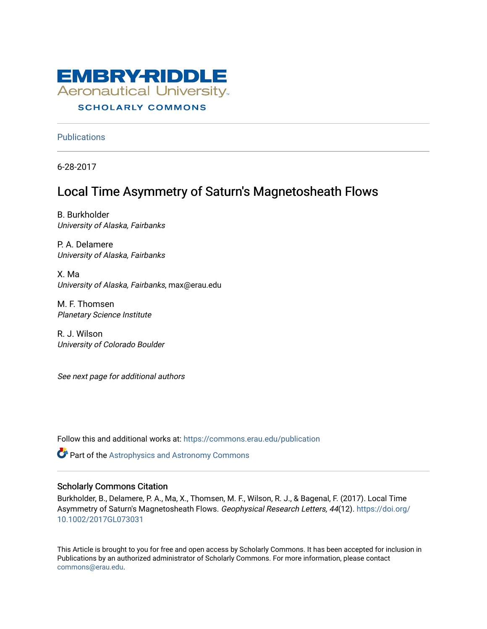

### **SCHOLARLY COMMONS**

**Publications** 

6-28-2017

## Local Time Asymmetry of Saturn's Magnetosheath Flows

B. Burkholder University of Alaska, Fairbanks

P. A. Delamere University of Alaska, Fairbanks

X. Ma University of Alaska, Fairbanks, max@erau.edu

M. F. Thomsen Planetary Science Institute

R. J. Wilson University of Colorado Boulder

See next page for additional authors

Follow this and additional works at: [https://commons.erau.edu/publication](https://commons.erau.edu/publication?utm_source=commons.erau.edu%2Fpublication%2F1148&utm_medium=PDF&utm_campaign=PDFCoverPages) 

**Part of the Astrophysics and Astronomy Commons** 

### Scholarly Commons Citation

Burkholder, B., Delamere, P. A., Ma, X., Thomsen, M. F., Wilson, R. J., & Bagenal, F. (2017). Local Time Asymmetry of Saturn's Magnetosheath Flows. Geophysical Research Letters, 44(12). [https://doi.org/](https://doi.org/10.1002/2017GL073031) [10.1002/2017GL073031](https://doi.org/10.1002/2017GL073031) 

This Article is brought to you for free and open access by Scholarly Commons. It has been accepted for inclusion in Publications by an authorized administrator of Scholarly Commons. For more information, please contact [commons@erau.edu](mailto:commons@erau.edu).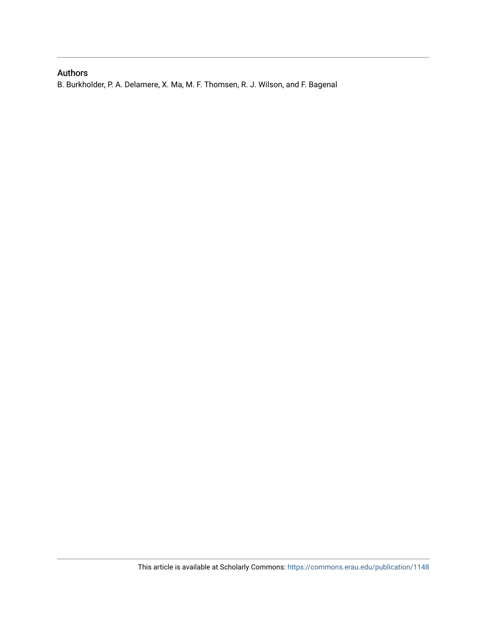### Authors

B. Burkholder, P. A. Delamere, X. Ma, M. F. Thomsen, R. J. Wilson, and F. Bagenal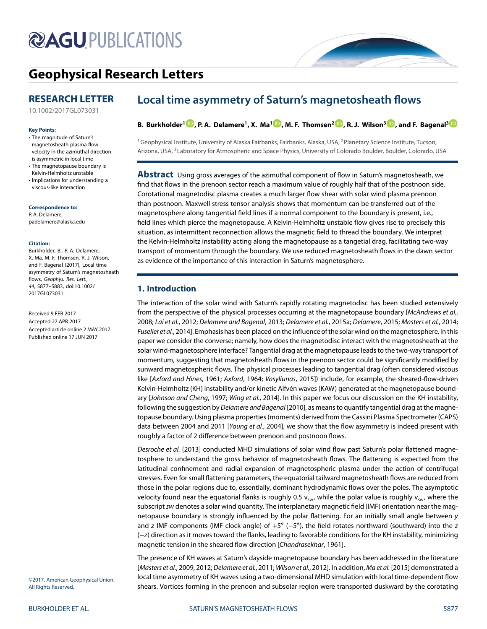# **@AGUPUBLICATIONS**

# **[Geophysical Research Letters](http://onlinelibrary.wiley.com/journal/10.1002/(ISSN)1944-8007)**

### **RESEARCH LETTER**

[10.1002/2017GL073031](http://dx.doi.org/10.1002/2017GL073031)

### **Key Points:**

- The magnitude of Saturn's magnetosheath plasma flow velocity in the azimuthal direction is asymmetric in local time • The magnetopause boundary is
- Kelvin-Helmholtz unstable
- Implications for understanding a viscous-like interaction

**Correspondence to:**

P. A. Delamere, padelamere@alaska.edu

#### **Citation:**

Burkholder, B., P. A. Delamere, X. Ma, M. F. Thomsen, R. J. Wilson, and F. Bagenal (2017), Local time asymmetry of Saturn's magnetosheath flows, Geophys. Res. Lett., 44, 5877–5883, doi:10.1002/ 2017GL073031.

Received 9 FEB 2017 Accepted 27 APR 2017 Accepted article online 2 MAY 2017 Published online 17 JUN 2017

## **Local time asymmetry of Saturn's magnetosheath flows**

**B. Burkholder1 [,](http://orcid.org/0000-0001-8702-5806) P. A. Delamere1, X. Ma[1](http://orcid.org/0000-0003-3942-1649) , M. F. Thomsen<sup>2</sup> [,](http://orcid.org/0000-0003-0140-9265) R. J. Wilson<sup>3</sup> [,](http://orcid.org/0000-0001-9276-2368) and F. Bagenal[3](http://orcid.org/0000-0002-3963-1614)**

<sup>1</sup> Geophysical Institute, University of Alaska Fairbanks, Fairbanks, Alaska, USA, <sup>2</sup>Planetary Science Institute, Tucson, Arizona, USA, <sup>3</sup>Laboratory for Atmospheric and Space Physics, University of Colorado Boulder, Boulder, Colorado, USA

**Abstract** Using gross averages of the azimuthal component of flow in Saturn's magnetosheath, we find that flows in the prenoon sector reach a maximum value of roughly half that of the postnoon side. Corotational magnetodisc plasma creates a much larger flow shear with solar wind plasma prenoon than postnoon. Maxwell stress tensor analysis shows that momentum can be transferred out of the magnetosphere along tangential field lines if a normal component to the boundary is present, i.e., field lines which pierce the magnetopause. A Kelvin-Helmholtz unstable flow gives rise to precisely this situation, as intermittent reconnection allows the magnetic field to thread the boundary. We interpret the Kelvin-Helmholtz instability acting along the magnetopause as a tangetial drag, facilitating two-way transport of momentum through the boundary. We use reduced magnetosheath flows in the dawn sector as evidence of the importance of this interaction in Saturn's magnetosphere.

### **1. Introduction**

The interaction of the solar wind with Saturn's rapidly rotating magnetodisc has been studied extensively from the perspective of the physical processes occurring at the magnetopause boundary [McAndrews et al., [2008;](#page-8-0) Lai et al., [2012;](#page-8-1) Delamere and Bagenal, [2013;](#page-7-0) Delamere et al., [2015a;](#page-7-1) Delamere, [2015;](#page-7-2) Masters et al., [2014;](#page-8-2) Fuselier et al., [2014\]](#page-8-3). Emphasis has been placed on the influence of the solar wind on the magnetosphere. In this paper we consider the converse; namely, how does the magnetodisc interact with the magnetosheath at the solar wind-magnetosphere interface? Tangential drag at the magnetopause leads to the two-way transport of momentum, suggesting that magnetosheath flows in the prenoon sector could be significantly modified by sunward magnetospheric flows. The physical processes leading to tangential drag (often considered viscous like [Axford and Hines, [1961;](#page-7-3) Axford, [1964;](#page-7-4) Vasyliunas, [2015\]](#page-8-4)) include, for example, the sheared-flow-driven Kelvin-Helmholtz (KH) instability and/or kinetic Alfvén waves (KAW) generated at the magnetopause boundary [Johnson and Cheng, [1997;](#page-8-5) Wing et al., [2014\]](#page-8-6). In this paper we focus our discussion on the KH instability, following the suggestion by *Delamere and Bagenal* [\[2010\]](#page-7-5), as means to quantify tangential drag at the magnetopause boundary. Using plasma properties (moments) derived from the Cassini Plasma Spectrometer (CAPS) data between 2004 and 2011 [Young et al., [2004\]](#page-8-7), we show that the flow asymmetry is indeed present with roughly a factor of 2 difference between prenoon and postnoon flows.

Desroche et al. [\[2013\]](#page-7-6) conducted MHD simulations of solar wind flow past Saturn's polar flattened magnetosphere to understand the gross behavior of magnetosheath flows. The flattening is expected from the latitudinal confinement and radial expansion of magnetospheric plasma under the action of centrifugal stresses. Even for small flattening parameters, the equatorial tailward magnetosheath flows are reduced from those in the polar regions due to, essentially, dominant hydrodynamic flows over the poles. The asymptotic velocity found near the equatorial flanks is roughly 0.5  $v_{sw}$ , while the polar value is roughly  $v_{sw}$ , where the subscript sw denotes a solar wind quantity. The interplanetary magnetic field (IMF) orientation near the magnetopause boundary is strongly influenced by the polar flattening. For an initially small angle between y and z IMF components (IMF clock angle) of  $+5^{\circ}$  (-5°), the field rotates northward (southward) into the z (−z) direction as it moves toward the flanks, leading to favorable conditions for the KH instability, minimizing magnetic tension in the sheared flow direction [Chandrasekhar, [1961\]](#page-7-7).

The presence of KH waves at Saturn's dayside magnetopause boundary has been addressed in the literature [Masters et al., [2009,](#page-8-8) [2012;](#page-8-9) Delamere et al., [2011;](#page-7-8) Wilson et al., [2012\]](#page-8-10). In addition, Ma et al. [\[2015\]](#page-8-11) demonstrated a local time asymmetry of KH waves using a two-dimensional MHD simulation with local time-dependent flow shears. Vortices forming in the prenoon and subsolar region were transported duskward by the corotating

©2017. American Geophysical Union. All Rights Reserved.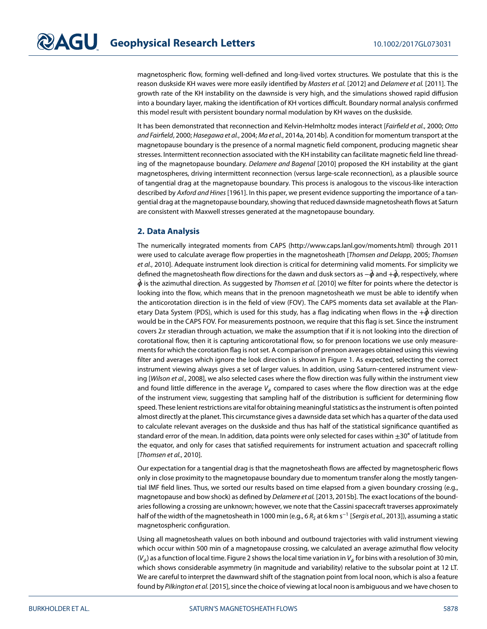magnetospheric flow, forming well-defined and long-lived vortex structures. We postulate that this is the reason duskside KH waves were more easily identified by Masters et al. [\[2012\]](#page-8-9) and Delamere et al. [\[2011\]](#page-7-8). The growth rate of the KH instability on the dawnside is very high, and the simulations showed rapid diffusion into a boundary layer, making the identification of KH vortices difficult. Boundary normal analysis confirmed this model result with persistent boundary normal modulation by KH waves on the duskside.

It has been demonstrated that reconnection and Kelvin-Helmholtz modes interact [Fairfield et al., [2000;](#page-8-12) Otto and Fairfield, [2000;](#page-8-13) Hasegawa et al., [2004;](#page-8-14) Ma et al., [2014a,](#page-8-15) [2014b\]](#page-8-16). A condition for momentum transport at the magnetopause boundary is the presence of a normal magnetic field component, producing magnetic shear stresses. Intermittent reconnection associated with the KH instability can facilitate magnetic field line thread-ing of the magnetopause boundary. Delamere and Bagenal [\[2010\]](#page-7-5) proposed the KH instability at the giant magnetospheres, driving intermittent reconnection (versus large-scale reconnection), as a plausible source of tangential drag at the magnetopause boundary. This process is analogous to the viscous-like interaction described by Axford and Hines [\[1961\]](#page-7-3). In this paper, we present evidence supporting the importance of a tangential drag at the magnetopause boundary, showing that reduced dawnside magnetosheath flows at Saturn are consistent with Maxwell stresses generated at the magnetopause boundary.

### **2. Data Analysis**

The numerically integrated moments from CAPS [\(http://www.caps.lanl.gov/moments.html\)](http://www.caps.lanl.gov/moments.html) through 2011 were used to calculate average flow properties in the magnetosheath [Thomsen and Delapp, [2005;](#page-8-17) Thomsen et al., [2010\]](#page-8-18). Adequate instrument look direction is critical for determining valid moments. For simplicity we defined the magnetosheath flow directions for the dawn and dusk sectors as  $-\hat{\phi}$  and  $+\hat{\phi}$ , respectively, where  $\hat{\bm{\phi}}$  is the azimuthal direction. As suggested by *Thomsen et al.* [\[2010\]](#page-8-18) we filter for points where the detector is looking into the flow, which means that in the prenoon magnetosheath we must be able to identify when the anticorotation direction is in the field of view (FOV). The CAPS moments data set available at the Planetary Data System (PDS), which is used for this study, has a flag indicating when flows in the  $+\hat{\phi}$  direction would be in the CAPS FOV. For measurements postnoon, we require that this flag is set. Since the instrument covers  $2\pi$  steradian through actuation, we make the assumption that if it is not looking into the direction of corotational flow, then it is capturing anticorotational flow, so for prenoon locations we use only measurements for which the corotation flag is not set. A comparison of prenoon averages obtained using this viewing filter and averages which ignore the look direction is shown in Figure [1.](#page-4-0) As expected, selecting the correct instrument viewing always gives a set of larger values. In addition, using Saturn-centered instrument view-ing [Wilson et al., [2008\]](#page-8-19), we also selected cases where the flow direction was fully within the instrument view and found little difference in the average  $V_{\phi}$  compared to cases where the flow direction was at the edge of the instrument view, suggesting that sampling half of the distribution is sufficient for determining flow speed. These lenient restrictions are vital for obtaining meaningful statistics as the instrument is often pointed almost directly at the planet. This circumstance gives a dawnside data set which has a quarter of the data used to calculate relevant averages on the duskside and thus has half of the statistical significance quantified as standard error of the mean. In addition, data points were only selected for cases within ±30° of latitude from the equator, and only for cases that satisfied requirements for instrument actuation and spacecraft rolling [Thomsen et al., [2010\]](#page-8-18).

Our expectation for a tangential drag is that the magnetosheath flows are affected by magnetospheric flows only in close proximity to the magnetopause boundary due to momentum transfer along the mostly tangential IMF field lines. Thus, we sorted our results based on time elapsed from a given boundary crossing (e.g., magnetopause and bow shock) as defined by Delamere et al. [\[2013,](#page-7-9) [2015b\]](#page-7-10). The exact locations of the boundaries following a crossing are unknown; however, we note that the Cassini spacecraft traverses approximately half of the width of the magnetosheath in 1000 min (e.g., 6  $R_S$  at 6 km s<sup>-1</sup> [Sergis et al., [2013\]](#page-8-20)), assuming a static magnetospheric configuration.

Using all magnetosheath values on both inbound and outbound trajectories with valid instrument viewing which occur within 500 min of a magnetopause crossing, we calculated an average azimuthal flow velocity  $(V_a)$  as a function of local time. Figure [2](#page-4-1) shows the local time variation in  $V_a$  for bins with a resolution of 30 min, which shows considerable asymmetry (in magnitude and variability) relative to the subsolar point at 12 LT. We are careful to interpret the dawnward shift of the stagnation point from local noon, which is also a feature found by Pilkington et al. [\[2015\]](#page-8-21), since the choice of viewing at local noon is ambiguous and we have chosen to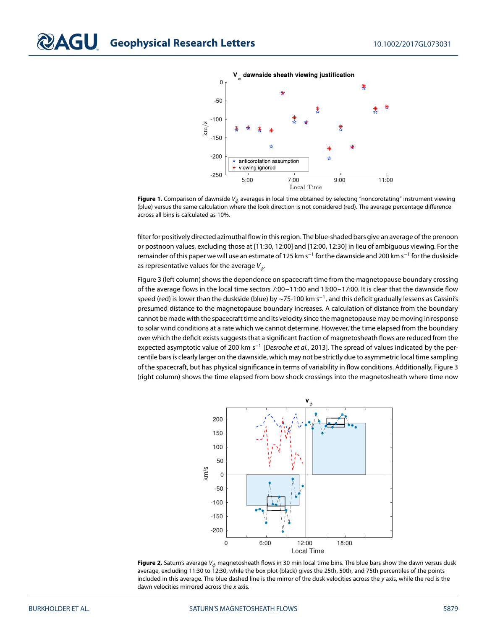

dawnside sheath viewing justification

<span id="page-4-0"></span>Figure 1. Comparison of dawnside V<sub>&</sub> averages in local time obtained by selecting "noncorotating" instrument viewing (blue) versus the same calculation where the look direction is not considered (red). The average percentage difference across all bins is calculated as 10%.

filter for positively directed azimuthal flow in this region. The blue-shaded bars give an average of the prenoon or postnoon values, excluding those at [11:30, 12:00] and [12:00, 12:30] in lieu of ambiguous viewing. For the remainder of this paper we will use an estimate of 125 km s<sup>−1</sup> for the dawnside and 200 km s<sup>−1</sup> for the duskside as representative values for the average  $V_{\phi}$ .

Figure [3](#page-5-0) (left column) shows the dependence on spacecraft time from the magnetopause boundary crossing of the average flows in the local time sectors 7:00–11:00 and 13:00–17:00. It is clear that the dawnside flow speed (red) is lower than the duskside (blue) by ~75-100 km s<sup>−1</sup>, and this deficit gradually lessens as Cassini's presumed distance to the magnetopause boundary increases. A calculation of distance from the boundary cannot be made with the spacecraft time and its velocity since the magnetopause may be moving in response to solar wind conditions at a rate which we cannot determine. However, the time elapsed from the boundary over which the deficit exists suggests that a significant fraction of magnetosheath flows are reduced from the expected asymptotic value of 200 km s<sup>-1</sup> [Desroche et al., [2013\]](#page-7-6). The spread of values indicated by the percentile bars is clearly larger on the dawnside, which may not be strictly due to asymmetric local time sampling of the spacecraft, but has physical significance in terms of variability in flow conditions. Additionally, Figure [3](#page-5-0) (right column) shows the time elapsed from bow shock crossings into the magnetosheath where time now



<span id="page-4-1"></span>**Figure 2.** Saturn's average  $V_{\phi}$  magnetosheath flows in 30 min local time bins. The blue bars show the dawn versus dusk average, excluding 11:30 to 12:30, while the box plot (black) gives the 25th, 50th, and 75th percentiles of the points included in this average. The blue dashed line is the mirror of the dusk velocities across the y axis, while the red is the dawn velocities mirrored across the  $x$  axis.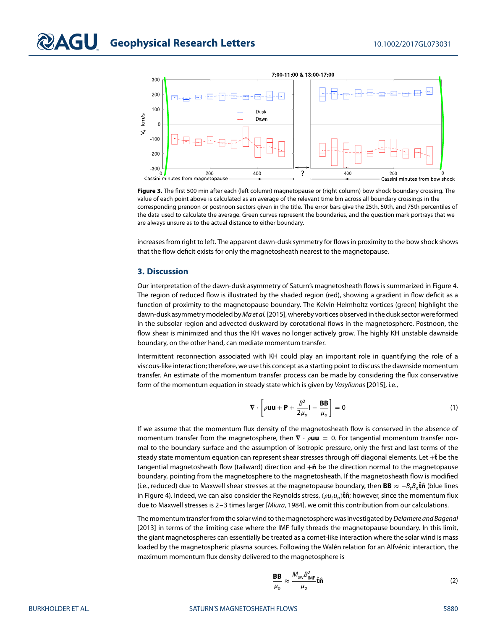

<span id="page-5-0"></span>**Figure 3.** The first 500 min after each (left column) magnetopause or (right column) bow shock boundary crossing. The value of each point above is calculated as an average of the relevant time bin across all boundary crossings in the corresponding prenoon or postnoon sectors given in the title. The error bars give the 25th, 50th, and 75th percentiles of the data used to calculate the average. Green curves represent the boundaries, and the question mark portrays that we are always unsure as to the actual distance to either boundary.

increases from right to left. The apparent dawn-dusk symmetry for flows in proximity to the bow shock shows that the flow deficit exists for only the magnetosheath nearest to the magnetopause.

### **3. Discussion**

Our interpretation of the dawn-dusk asymmetry of Saturn's magnetosheath flows is summarized in Figure [4.](#page-6-0) The region of reduced flow is illustrated by the shaded region (red), showing a gradient in flow deficit as a function of proximity to the magnetopause boundary. The Kelvin-Helmholtz vortices (green) highlight the dawn-dusk asymmetry modeled by Ma et al. [\[2015\]](#page-8-11), whereby vortices observed in the dusk sector were formed in the subsolar region and advected duskward by corotational flows in the magnetosphere. Postnoon, the flow shear is minimized and thus the KH waves no longer actively grow. The highly KH unstable dawnside boundary, on the other hand, can mediate momentum transfer.

Intermittent reconnection associated with KH could play an important role in quantifying the role of a viscous-like interaction; therefore, we use this concept as a starting point to discuss the dawnside momentum transfer. An estimate of the momentum transfer process can be made by considering the flux conservative form of the momentum equation in steady state which is given by Vasyliunas [\[2015\]](#page-8-4), i.e.,

<span id="page-5-1"></span>
$$
\nabla \cdot \left[ \rho \mathbf{u} \mathbf{u} + \mathbf{P} + \frac{B^2}{2\mu_o} \mathbf{I} - \frac{\mathbf{B} \mathbf{B}}{\mu_o} \right] = 0 \tag{1}
$$

If we assume that the momentum flux density of the magnetosheath flow is conserved in the absence of momentum transfer from the magnetosphere, then  $\nabla \cdot \rho \mathbf{u} \mathbf{u} = 0$ . For tangential momentum transfer normal to the boundary surface and the assumption of isotropic pressure, only the first and last terms of the steady state momentum equation can represent shear stresses through off diagonal elements. Let +*̂* **t** be the tangential magnetosheath flow (tailward) direction and +**n***̂* be the direction normal to the magnetopause boundary, pointing from the magnetosphere to the magnetosheath. If the magnetosheath flow is modified (i.e., reduced) due to Maxwell shear stresses at the magnetopause boundary, then **BB** ≈  $-B_tB_n\hat{\bf t}\hat{\bf n}$  (blue lines in Figure [4\)](#page-6-0). Indeed, we can also consider the Reynolds stress, ( $\rho u_t u_n$ )**t̂n**̂; however, since the momentum flux due to Maxwell stresses is 2–3 times larger [Miura, [1984\]](#page-8-22), we omit this contribution from our calculations.

The momentum transfer from the solar wind to the magnetosphere was investigated by Delamere and Bagenal [\[2013\]](#page-7-0) in terms of the limiting case where the IMF fully threads the magnetopause boundary. In this limit, the giant magnetospheres can essentially be treated as a comet-like interaction where the solar wind is mass loaded by the magnetospheric plasma sources. Following the Walén relation for an Alfvénic interaction, the maximum momentum flux density delivered to the magnetosphere is

$$
\frac{\mathbf{BB}}{\mu_o} \approx \frac{M_{\rm sw} B_{\rm IMF}^2}{\mu_o} \hat{\mathbf{t}} \hat{\mathbf{n}} \tag{2}
$$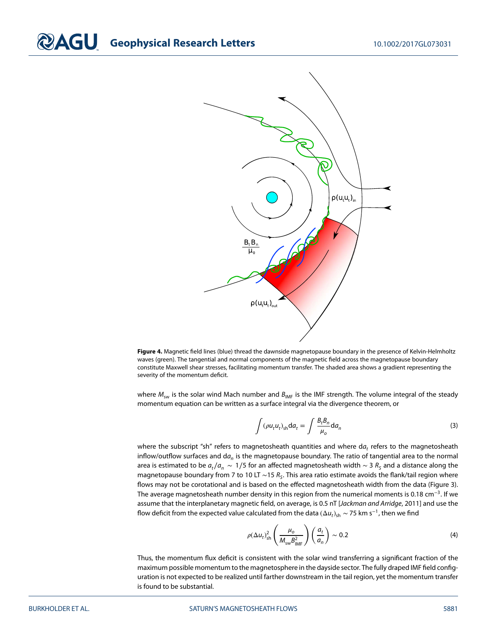# **COAGU** Geophysical Research Letters 10.1002/2017GL073031



<span id="page-6-0"></span>**Figure 4.** Magnetic field lines (blue) thread the dawnside magnetopause boundary in the presence of Kelvin-Helmholtz waves (green). The tangential and normal components of the magnetic field across the magnetopause boundary constitute Maxwell shear stresses, facilitating momentum transfer. The shaded area shows a gradient representing the severity of the momentum deficit.

where  $M_{\text{sw}}$  is the solar wind Mach number and  $B_{\text{IMF}}$  is the IMF strength. The volume integral of the steady momentum equation can be written as a surface integral via the divergence theorem, or

$$
\int (\rho u_t u_t)_{\text{sh}} \text{d}a_t = \int \frac{B_t B_n}{\mu_o} \text{d}a_n \tag{3}
$$

where the subscript "sh" refers to magnetosheath quantities and where da, refers to the magnetosheath inflow/outflow surfaces and da<sub>n</sub> is the magnetopause boundary. The ratio of tangential area to the normal area is estimated to be  $a_t/a_n \sim 1/5$  for an affected magnetosheath width ∼ 3  $R_S$  and a distance along the magnetopause boundary from 7 to 10 LT ~15  $R_S$ . This area ratio estimate avoids the flank/tail region where flows may not be corotational and is based on the effected magnetosheath width from the data (Figure [3\)](#page-5-0). The average magnetosheath number density in this region from the numerical moments is 0.18 cm<sup>−</sup>3. If we assume that the interplanetary magnetic field, on average, is 0.5 nT [Jackman and Arridge, [2011\]](#page-8-23) and use the flow deficit from the expected value calculated from the data ( $\Delta u_t$ )<sub>sh</sub> ~ 75 km s<sup>−1</sup>, then we find

$$
\rho(\Delta u_t)_{\rm sh}^2 \left(\frac{\mu_o}{M_{\rm sw} B_{\rm IMF}^2}\right) \left(\frac{a_t}{a_n}\right) \sim 0.2\tag{4}
$$

Thus, the momentum flux deficit is consistent with the solar wind transferring a significant fraction of the maximum possible momentum to the magnetosphere in the dayside sector. The fully draped IMF field configuration is not expected to be realized until farther downstream in the tail region, yet the momentum transfer is found to be substantial.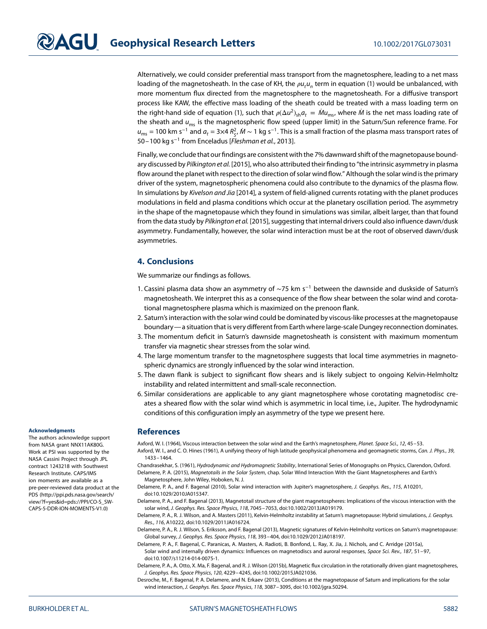Alternatively, we could consider preferential mass transport from the magnetosphere, leading to a net mass loading of the magnetosheath. In the case of KH, the  $\rho u_t u_n$  term in equation [\(1\)](#page-5-1) would be unbalanced, with more momentum flux directed from the magnetosphere to the magnetosheath. For a diffusive transport process like KAW, the effective mass loading of the sheath could be treated with a mass loading term on the right-hand side of equation [\(1\)](#page-5-1), such that  $\rho(\Delta u^2)_{sh}a_t = M u_{ms}$ , where M is the net mass loading rate of the sheath and  $u_{\rm ms}$  is the magnetospheric flow speed (upper limit) in the Saturn/Sun reference frame. For  $u_{\rm ms}$  = 100 km s<sup>−1</sup> and  $a_t$  = 3×4  $R_S^2$ ,  $\dot M$  ~ 1 kg s<sup>−1</sup>. This is a small fraction of the plasma mass transport rates of 50–100 kg s<sup>−</sup><sup>1</sup> from Enceladus [Fleshman et al., [2013\]](#page-8-24).

Finally, we conclude that our findings are consistent with the 7% dawnward shift of the magnetopause bound-ary discussed by Pilkington et al. [\[2015\]](#page-8-21), who also attributed their finding to "the intrinsic asymmetry in plasma flow around the planet with respect to the direction of solar wind flow." Although the solar wind is the primary driver of the system, magnetospheric phenomena could also contribute to the dynamics of the plasma flow. In simulations by Kivelson and Jia [\[2014\]](#page-8-25), a system of field-aligned currents rotating with the planet produces modulations in field and plasma conditions which occur at the planetary oscillation period. The asymmetry in the shape of the magnetopause which they found in simulations was similar, albeit larger, than that found from the data study by Pilkington et al. [\[2015\]](#page-8-21), suggesting that internal drivers could also influence dawn/dusk asymmetry. Fundamentally, however, the solar wind interaction must be at the root of observed dawn/dusk asymmetries.

### **4. Conclusions**

We summarize our findings as follows.

- 1. Cassini plasma data show an asymmetry of ∼75 km s<sup>−</sup><sup>1</sup> between the dawnside and duskside of Saturn's magnetosheath. We interpret this as a consequence of the flow shear between the solar wind and corotational magnetosphere plasma which is maximized on the prenoon flank.
- 2. Saturn's interaction with the solar wind could be dominated by viscous-like processes at the magnetopause boundary—a situation that is very different from Earth where large-scale Dungey reconnection dominates.
- 3. The momentum deficit in Saturn's dawnside magnetosheath is consistent with maximum momentum transfer via magnetic shear stresses from the solar wind.
- 4. The large momentum transfer to the magnetosphere suggests that local time asymmetries in magnetospheric dynamics are strongly influenced by the solar wind interaction.
- 5. The dawn flank is subject to significant flow shears and is likely subject to ongoing Kelvin-Helmholtz instability and related intermittent and small-scale reconnection.
- 6. Similar considerations are applicable to any giant magnetosphere whose corotating magnetodisc creates a sheared flow with the solar wind which is asymmetric in local time, i.e., Jupiter. The hydrodynamic conditions of this configuration imply an asymmetry of the type we present here.

#### **References**

- <span id="page-7-4"></span><span id="page-7-3"></span>Axford, W. I. (1964), Viscous interaction between the solar wind and the Earth's magnetosphere, Planet. Space Sci., 12, 45–53. Axford, W. I., and C. O. Hines (1961), A unifying theory of high latitude geophysical phenomena and geomagnetic storms, Can. J. Phys., 39, 1433–1464.
- <span id="page-7-7"></span><span id="page-7-2"></span>Chandrasekhar, S. (1961), Hydrodynamic and Hydromagnetic Stability, International Series of Monographs on Physics, Clarendon, Oxford. Delamere, P. A. (2015), Magnetotails in the Solar System, chap. Solar Wind Interaction With the Giant Magnetospheres and Earth's Magnetosphere, John Wiley, Hoboken, N. J.
- <span id="page-7-5"></span>Delamere, P. A., and F. Bagenal (2010), Solar wind interaction with Jupiter's magnetosphere, J. Geophys. Res., 115, A10201, doi[:10.1029/2010JA015347.](http://dx.doi.org/10.1029/2010JA015347)

<span id="page-7-0"></span>Delamere, P. A., and F. Bagenal (2013), Magnetotail structure of the giant magnetospheres: Implications of the viscous interaction with the solar wind, J. Geophys. Res. Space Physics, 118, 7045–7053, doi[:10.1002/2013JA019179.](http://dx.doi.org/10.1002/2013JA019179)

- <span id="page-7-8"></span>Delamere, P. A., R. J. Wilson, and A. Masters (2011), Kelvin-Helmholtz instability at Saturn's magnetopause: Hybrid simulations, J. Geophys. Res., 116, A10222, doi[:10.1029/2011JA016724.](http://dx.doi.org/10.1029/2011JA016724)
- <span id="page-7-9"></span>Delamere, P. A., R. J. Wilson, S. Eriksson, and F. Bagenal (2013), Magnetic signatures of Kelvin-Helmholtz vortices on Saturn's magnetopause: Global survey, J. Geophys. Res. Space Physics, 118, 393–404, doi[:10.1029/2012JA018197.](http://dx.doi.org/10.1029/2012JA018197)
- <span id="page-7-1"></span>Delamere, P. A., F. Bagenal, C. Paranicas, A. Masters, A. Radioti, B. Bonfond, L. Ray, X. Jia, J. Nichols, and C. Arridge (2015a), Solar wind and internally driven dynamics: Influences on magnetodiscs and auroral responses, Space Sci. Rev., 187, 51–97, doi[:10.1007/s11214-014-0075-1.](http://dx.doi.org/10.1007/s11214-014-0075-1)
- <span id="page-7-10"></span>Delamere, P. A., A. Otto, X. Ma, F. Bagenal, and R. J. Wilson (2015b), Magnetic flux circulation in the rotationally driven giant magnetospheres, J. Geophys. Res. Space Physics, 120, 4229–4245, doi[:10.1002/2015JA021036.](http://dx.doi.org/10.1002/2015JA021036)
- <span id="page-7-6"></span>Desroche, M., F. Bagenal, P. A. Delamere, and N. Erkaev (2013), Conditions at the magnetopause of Saturn and implications for the solar wind interaction, J. Geophys. Res. Space Physics, 118, 3087–3095, doi[:10.1002/jgra.50294.](http://dx.doi.org/10.1002/jgra.50294)

#### **Acknowledgments**

The authors acknowledge support from NASA grant NNX11AK80G. Work at PSI was supported by the NASA Cassini Project through JPL contract 1243218 with Southwest Research Institute. CAPS/IMS ion moments are available as a pre-peer-reviewed data product at the PDS [\(http://ppi.pds.nasa.gov/search/](http://ppi.pds.nasa.gov/search/view/?f=yes&id=pds://PPI/CO-S_SW-CAPS-5-DDR-ION-MOMENTS-V1.0) [view/?f=yes&id=pds://PPI/CO-S\\_SW-](http://ppi.pds.nasa.gov/search/view/?f=yes&id=pds://PPI/CO-S_SW-CAPS-5-DDR-ION-MOMENTS-V1.0)[CAPS-5-DDR-ION-MOMENTS-V1.0\)](http://ppi.pds.nasa.gov/search/view/?f=yes&id=pds://PPI/CO-S_SW-CAPS-5-DDR-ION-MOMENTS-V1.0)